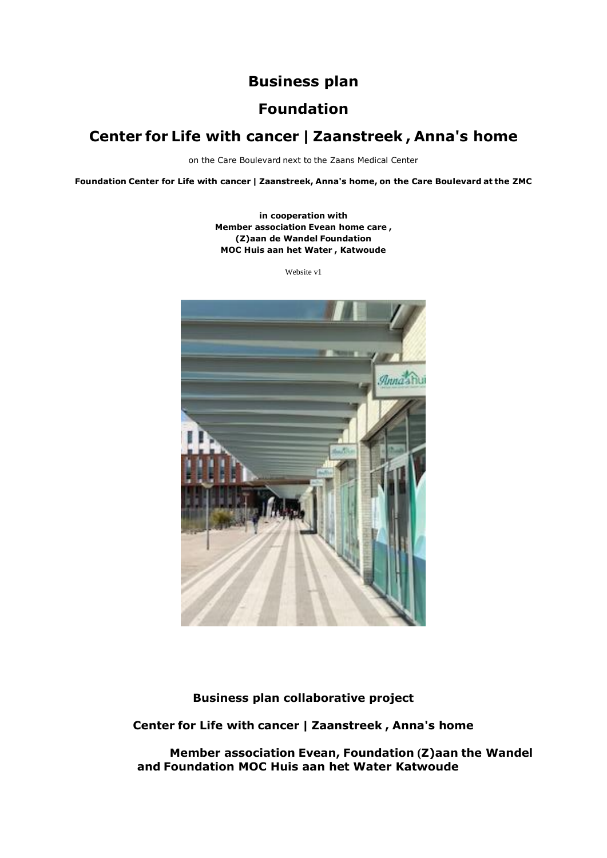# **Business plan**

# **Foundation**

# **Center for Life with cancer | Zaanstreek , Anna's home**

on the Care Boulevard next to the Zaans Medical Center

**Foundation Center for Life with cancer | Zaanstreek, Anna's home, on the Care Boulevard at the ZMC**

**in cooperation with Member association Evean home care , (Z)aan de Wandel Foundation MOC Huis aan het Water , Katwoude**

Website v1



**Business plan collaborative project**

**Center for Life with cancer | Zaanstreek , Anna's home**

 **Member association Evean, Foundation (Z)aan the Wandel and Foundation MOC Huis aan het Water Katwoude**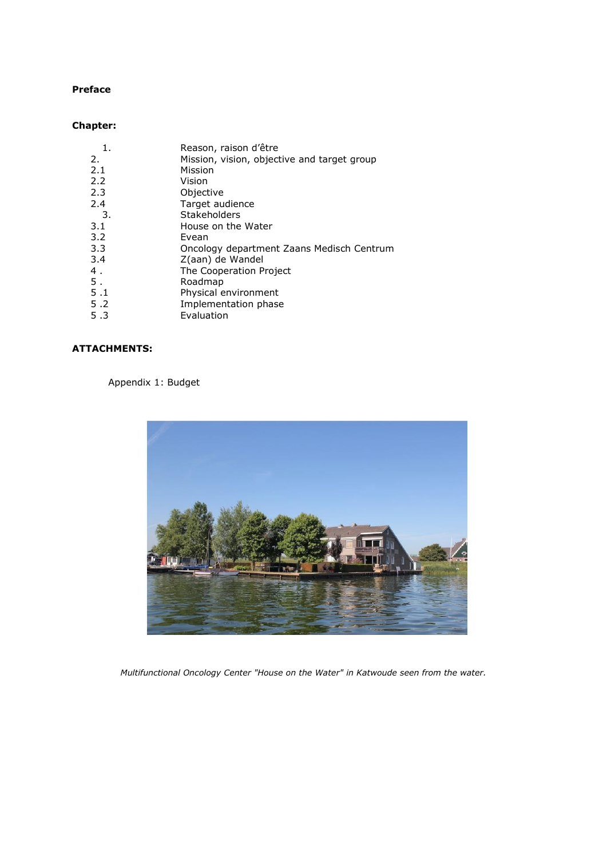### **Preface**

# **Chapter:**

| Reason, raison d'être                       |
|---------------------------------------------|
| Mission, vision, objective and target group |
| Mission                                     |
| Vision                                      |
| Objective                                   |
| Target audience                             |
| Stakeholders                                |
| House on the Water                          |
| Evean                                       |
| Oncology department Zaans Medisch Centrum   |
| Z(aan) de Wandel                            |
| The Cooperation Project                     |
| Roadmap                                     |
| Physical environment                        |
| Implementation phase                        |
| Evaluation                                  |
|                                             |

# **ATTACHMENTS:**

# Appendix 1: Budget



*Multifunctional Oncology Center "House on the Water" in Katwoude seen from the water.*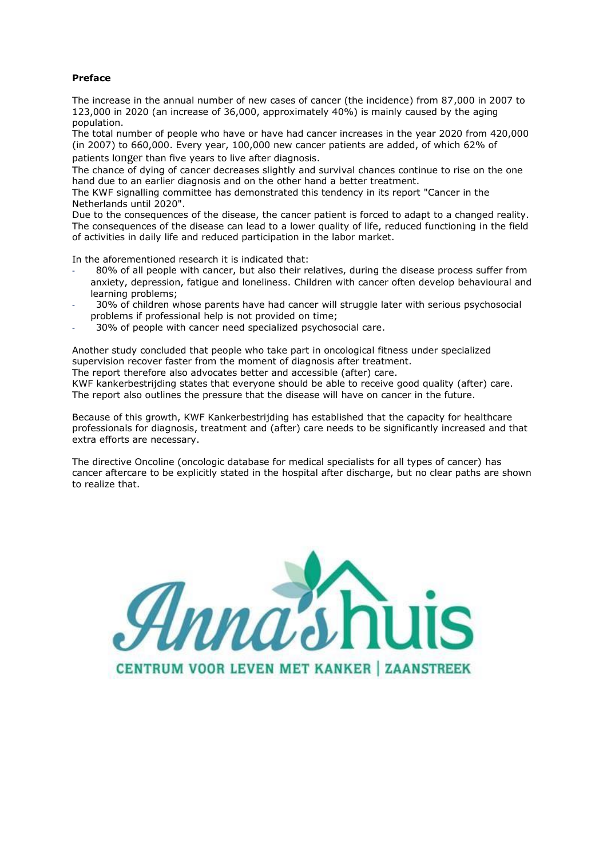#### **Preface**

The increase in the annual number of new cases of cancer (the incidence) from 87,000 in 2007 to 123,000 in 2020 (an increase of 36,000, approximately 40%) is mainly caused by the aging population.

The total number of people who have or have had cancer increases in the year 2020 from 420,000 (in 2007) to 660,000. Every year, 100,000 new cancer patients are added, of which 62% of patients longer than five years to live after diagnosis.

The chance of dying of cancer decreases slightly and survival chances continue to rise on the one hand due to an earlier diagnosis and on the other hand a better treatment.

The KWF signalling committee has demonstrated this tendency in its report "Cancer in the Netherlands until 2020".

Due to the consequences of the disease, the cancer patient is forced to adapt to a changed reality. The consequences of the disease can lead to a lower quality of life, reduced functioning in the field of activities in daily life and reduced participation in the labor market.

In the aforementioned research it is indicated that:

- 80% of all people with cancer, but also their relatives, during the disease process suffer from anxiety, depression, fatigue and loneliness. Children with cancer often develop behavioural and learning problems;
- 30% of children whose parents have had cancer will struggle later with serious psychosocial problems if professional help is not provided on time;
- 30% of people with cancer need specialized psychosocial care.

Another study concluded that people who take part in oncological fitness under specialized supervision recover faster from the moment of diagnosis after treatment.

The report therefore also advocates better and accessible (after) care.

KWF kankerbestrijding states that everyone should be able to receive good quality (after) care. The report also outlines the pressure that the disease will have on cancer in the future.

Because of this growth, KWF Kankerbestrijding has established that the capacity for healthcare professionals for diagnosis, treatment and (after) care needs to be significantly increased and that extra efforts are necessary.

The directive Oncoline (oncologic database for medical specialists for all types of cancer) has cancer aftercare to be explicitly stated in the hospital after discharge, but no clear paths are shown to realize that.

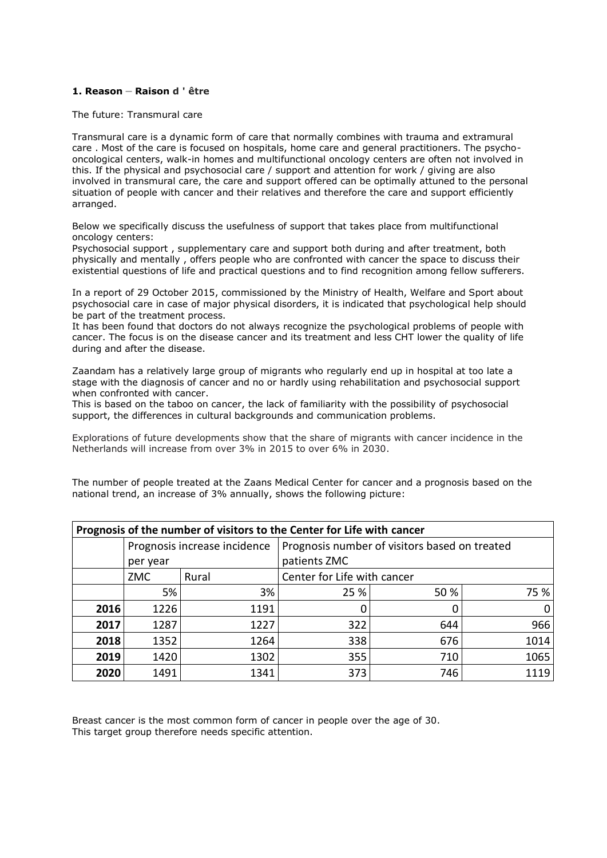#### **1. Reason** – **Raison d ' être**

The future: Transmural care

Transmural care is a dynamic form of care that normally combines with trauma and extramural care . Most of the care is focused on hospitals, home care and general practitioners. The psychooncological centers, walk-in homes and multifunctional oncology centers are often not involved in this. If the physical and psychosocial care / support and attention for work / giving are also involved in transmural care, the care and support offered can be optimally attuned to the personal situation of people with cancer and their relatives and therefore the care and support efficiently arranged.

Below we specifically discuss the usefulness of support that takes place from multifunctional oncology centers:

Psychosocial support , supplementary care and support both during and after treatment, both physically and mentally , offers people who are confronted with cancer the space to discuss their existential questions of life and practical questions and to find recognition among fellow sufferers.

In a report of 29 October 2015, commissioned by the Ministry of Health, Welfare and Sport about psychosocial care in case of major physical disorders, it is indicated that psychological help should be part of the treatment process.

It has been found that doctors do not always recognize the psychological problems of people with cancer. The focus is on the disease cancer and its treatment and less CHT lower the quality of life during and after the disease.

Zaandam has a relatively large group of migrants who regularly end up in hospital at too late a stage with the diagnosis of cancer and no or hardly using rehabilitation and psychosocial support when confronted with cancer.

This is based on the taboo on cancer, the lack of familiarity with the possibility of psychosocial support, the differences in cultural backgrounds and communication problems.

Explorations of future developments show that the share of migrants with cancer incidence in the Netherlands will increase from over 3% in 2015 to over 6% in 2030.

The number of people treated at the Zaans Medical Center for cancer and a prognosis based on the national trend, an increase of 3% annually, shows the following picture:

| Prognosis of the number of visitors to the Center for Life with cancer |          |                              |                                               |      |      |  |
|------------------------------------------------------------------------|----------|------------------------------|-----------------------------------------------|------|------|--|
|                                                                        |          | Prognosis increase incidence | Prognosis number of visitors based on treated |      |      |  |
|                                                                        | per year |                              | patients ZMC                                  |      |      |  |
|                                                                        | ZMC      | Rural                        | Center for Life with cancer                   |      |      |  |
|                                                                        | 5%       | 3%                           | 25 %                                          | 50 % | 75 % |  |
| 2016                                                                   | 1226     | 1191                         | 0                                             |      |      |  |
| 2017                                                                   | 1287     | 1227                         | 322                                           | 644  | 966  |  |
| 2018                                                                   | 1352     | 1264                         | 338                                           | 676  | 1014 |  |
| 2019                                                                   | 1420     | 1302                         | 355                                           | 710  | 1065 |  |
| 2020                                                                   | 1491     | 1341                         | 373                                           | 746  | 1119 |  |

Breast cancer is the most common form of cancer in people over the age of 30. This target group therefore needs specific attention.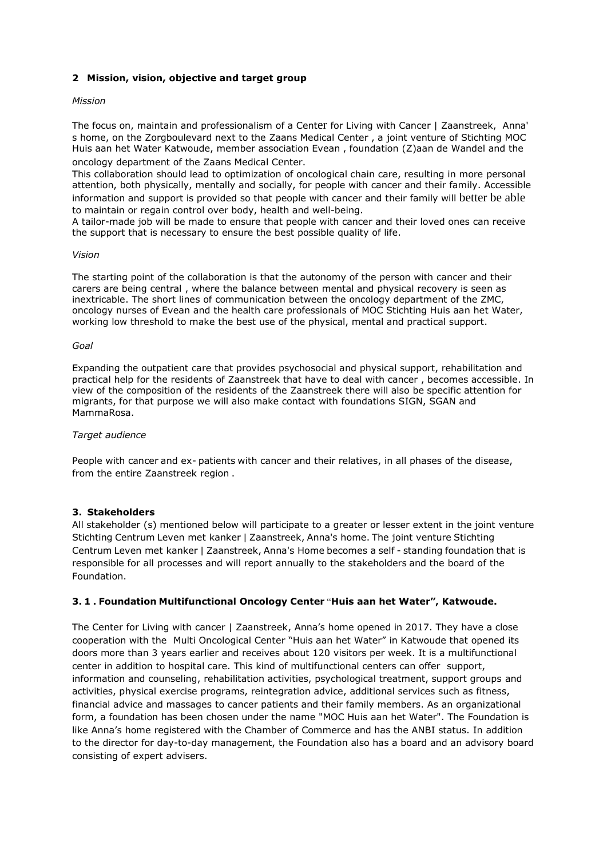### **2 Mission, vision, objective and target group**

#### *Mission*

The focus on, maintain and professionalism of a Center for Living with Cancer | Zaanstreek, Anna' s home, on the Zorgboulevard next to the Zaans Medical Center , a joint venture of Stichting MOC Huis aan het Water Katwoude, member association Evean , foundation (Z)aan de Wandel and the oncology department of the Zaans Medical Center.

This collaboration should lead to optimization of oncological chain care, resulting in more personal attention, both physically, mentally and socially, for people with cancer and their family. Accessible information and support is provided so that people with cancer and their family will better be able to maintain or regain control over body, health and well-being.

A tailor-made job will be made to ensure that people with cancer and their loved ones can receive the support that is necessary to ensure the best possible quality of life.

#### *Vision*

The starting point of the collaboration is that the autonomy of the person with cancer and their carers are being central , where the balance between mental and physical recovery is seen as inextricable. The short lines of communication between the oncology department of the ZMC, oncology nurses of Evean and the health care professionals of MOC Stichting Huis aan het Water, working low threshold to make the best use of the physical, mental and practical support.

#### *Goal*

Expanding the outpatient care that provides psychosocial and physical support, rehabilitation and practical help for the residents of Zaanstreek that have to deal with cancer , becomes accessible. In view of the composition of the residents of the Zaanstreek there will also be specific attention for migrants, for that purpose we will also make contact with foundations SIGN, SGAN and MammaRosa.

#### *Target audience*

People with cancer and ex- patients with cancer and their relatives, in all phases of the disease, from the entire Zaanstreek region .

#### **3. Stakeholders**

All stakeholder (s) mentioned below will participate to a greater or lesser extent in the joint venture Stichting Centrum Leven met kanker | Zaanstreek, Anna's home. The joint venture Stichting Centrum Leven met kanker | Zaanstreek, Anna's Home becomes a self - standing foundation that is responsible for all processes and will report annually to the stakeholders and the board of the Foundation.

#### **3. 1 . Foundation Multifunctional Oncology Center** "**Huis aan het Water", Katwoude.**

The Center for Living with cancer | Zaanstreek, Anna's home opened in 2017. They have a close cooperation with the Multi Oncological Center "Huis aan het Water" in Katwoude that opened its doors more than 3 years earlier and receives about 120 visitors per week. It is a multifunctional center in addition to hospital care. This kind of multifunctional centers can offer support, information and counseling, rehabilitation activities, psychological treatment, support groups and activities, physical exercise programs, reintegration advice, additional services such as fitness, financial advice and massages to cancer patients and their family members. As an organizational form, a foundation has been chosen under the name "MOC Huis aan het Water". The Foundation is like Anna's home registered with the Chamber of Commerce and has the ANBI status. In addition to the director for day-to-day management, the Foundation also has a board and an advisory board consisting of expert advisers.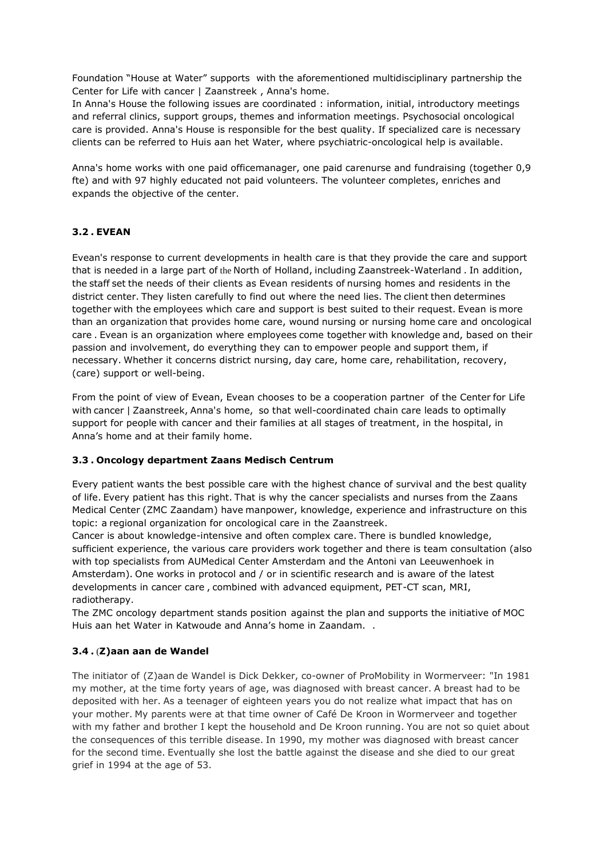Foundation "House at Water" supports with the aforementioned multidisciplinary partnership the Center for Life with cancer | Zaanstreek , Anna's home.

In Anna's House the following issues are coordinated : information, initial, introductory meetings and referral clinics, support groups, themes and information meetings. Psychosocial oncological care is provided. Anna's House is responsible for the best quality. If specialized care is necessary clients can be referred to Huis aan het Water, where psychiatric-oncological help is available.

Anna's home works with one paid officemanager, one paid carenurse and fundraising (together 0,9 fte) and with 97 highly educated not paid volunteers. The volunteer completes, enriches and expands the objective of the center.

# **3.2 . EVEAN**

Evean's response to current developments in health care is that they provide the care and support that is needed in a large part of the North of Holland, including Zaanstreek-Waterland . In addition, the staff set the needs of their clients as Evean residents of nursing homes and residents in the district center. They listen carefully to find out where the need lies. The client then determines together with the employees which care and support is best suited to their request. Evean is more than an organization that provides home care, wound nursing or nursing home care and oncological care . Evean is an organization where employees come together with knowledge and, based on their passion and involvement, do everything they can to empower people and support them, if necessary. Whether it concerns district nursing, day care, home care, rehabilitation, recovery, (care) support or well-being.

From the point of view of Evean, Evean chooses to be a cooperation partner of the Center for Life with cancer | Zaanstreek, Anna's home, so that well-coordinated chain care leads to optimally support for people with cancer and their families at all stages of treatment, in the hospital, in Anna's home and at their family home.

# **3.3 . Oncology department Zaans Medisch Centrum**

Every patient wants the best possible care with the highest chance of survival and the best quality of life. Every patient has this right. That is why the cancer specialists and nurses from the Zaans Medical Center (ZMC Zaandam) have manpower, knowledge, experience and infrastructure on this topic: a regional organization for oncological care in the Zaanstreek.

Cancer is about knowledge-intensive and often complex care. There is bundled knowledge, sufficient experience, the various care providers work together and there is team consultation (also with top specialists from AUMedical Center Amsterdam and the Antoni van Leeuwenhoek in Amsterdam). One works in protocol and / or in scientific research and is aware of the latest developments in cancer care , combined with advanced equipment, PET-CT scan, MRI, radiotherapy.

The ZMC oncology department stands position against the plan and supports the initiative of MOC Huis aan het Water in Katwoude and Anna's home in Zaandam. .

# **3.4 .** (**Z)aan aan de Wandel**

The initiator of (Z)aan de Wandel is Dick Dekker, co-owner of ProMobility in Wormerveer: "In 1981 my mother, at the time forty years of age, was diagnosed with breast cancer. A breast had to be deposited with her. As a teenager of eighteen years you do not realize what impact that has on your mother. My parents were at that time owner of Café De Kroon in Wormerveer and together with my father and brother I kept the household and De Kroon running. You are not so quiet about the consequences of this terrible disease. In 1990, my mother was diagnosed with breast cancer for the second time. Eventually she lost the battle against the disease and she died to our great grief in 1994 at the age of 53.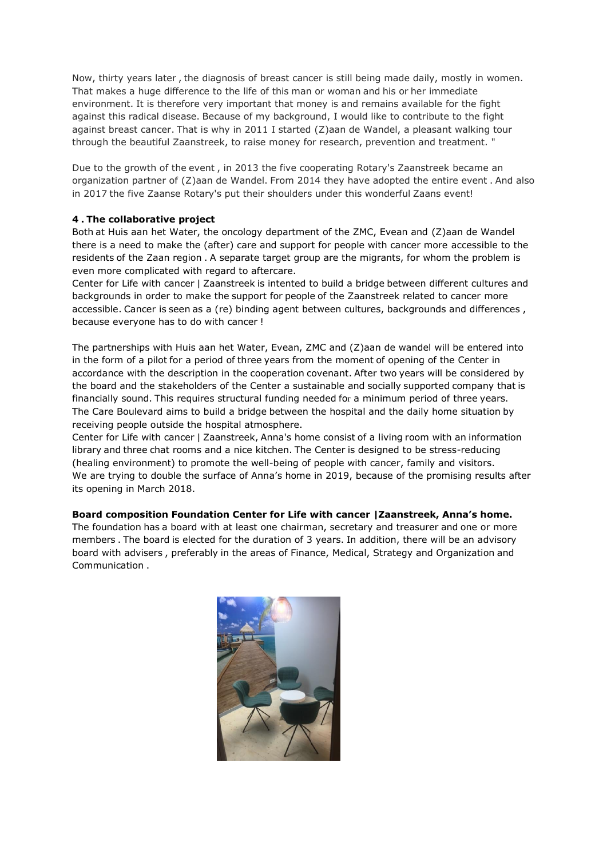Now, thirty years later , the diagnosis of breast cancer is still being made daily, mostly in women. That makes a huge difference to the life of this man or woman and his or her immediate environment. It is therefore very important that money is and remains available for the fight against this radical disease. Because of my background, I would like to contribute to the fight against breast cancer. That is why in 2011 I started (Z)aan de Wandel, a pleasant walking tour through the beautiful Zaanstreek, to raise money for research, prevention and treatment. "

Due to the growth of the event , in 2013 the five cooperating Rotary's Zaanstreek became an organization partner of (Z)aan de Wandel. From 2014 they have adopted the entire event . And also in 2017 the five Zaanse Rotary's put their shoulders under this wonderful Zaans event!

# **4 . The collaborative project**

Both at Huis aan het Water, the oncology department of the ZMC, Evean and (Z)aan de Wandel there is a need to make the (after) care and support for people with cancer more accessible to the residents of the Zaan region . A separate target group are the migrants, for whom the problem is even more complicated with regard to aftercare.

Center for Life with cancer | Zaanstreek is intented to build a bridge between different cultures and backgrounds in order to make the support for people of the Zaanstreek related to cancer more accessible. Cancer is seen as a (re) binding agent between cultures, backgrounds and differences , because everyone has to do with cancer !

The partnerships with Huis aan het Water, Evean, ZMC and (Z)aan de wandel will be entered into in the form of a pilot for a period of three years from the moment of opening of the Center in accordance with the description in the cooperation covenant. After two years will be considered by the board and the stakeholders of the Center a sustainable and socially supported company that is financially sound. This requires structural funding needed for a minimum period of three years. The Care Boulevard aims to build a bridge between the hospital and the daily home situation by receiving people outside the hospital atmosphere.

Center for Life with cancer | Zaanstreek, Anna's home consist of a living room with an information library and three chat rooms and a nice kitchen. The Center is designed to be stress-reducing (healing environment) to promote the well-being of people with cancer, family and visitors. We are trying to double the surface of Anna's home in 2019, because of the promising results after its opening in March 2018.

#### **Board composition Foundation Center for Life with cancer |Zaanstreek, Anna's home.**

The foundation has a board with at least one chairman, secretary and treasurer and one or more members . The board is elected for the duration of 3 years. In addition, there will be an advisory board with advisers , preferably in the areas of Finance, Medical, Strategy and Organization and Communication .

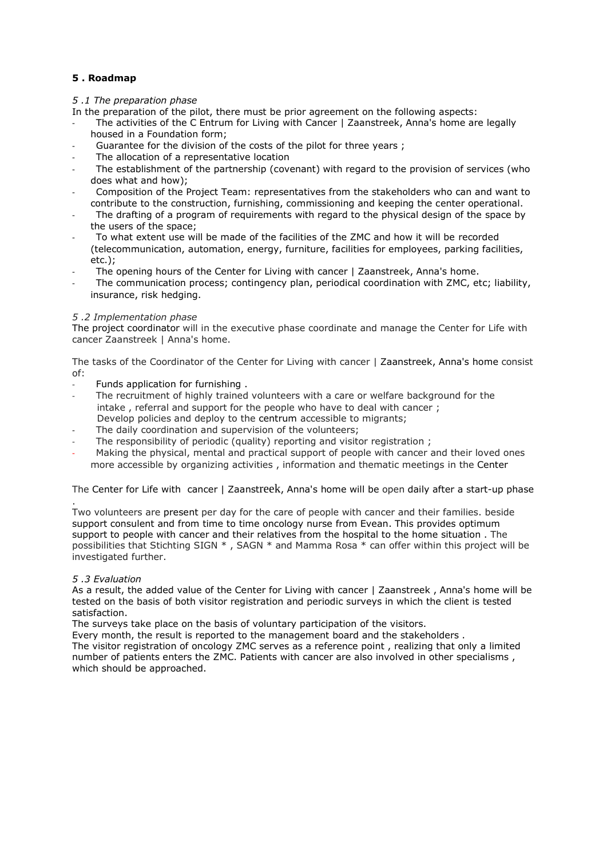# **5 . Roadmap**

#### *5 .1 The preparation phase*

In the preparation of the pilot, there must be prior agreement on the following aspects:

- The activities of the C Entrum for Living with Cancer | Zaanstreek, Anna's home are legally housed in a Foundation form;
- Guarantee for the division of the costs of the pilot for three years;
- The allocation of a representative location
- The establishment of the partnership (covenant) with regard to the provision of services (who does what and how);
- Composition of the Project Team: representatives from the stakeholders who can and want to contribute to the construction, furnishing, commissioning and keeping the center operational.
- The drafting of a program of requirements with regard to the physical design of the space by the users of the space;
- To what extent use will be made of the facilities of the ZMC and how it will be recorded (telecommunication, automation, energy, furniture, facilities for employees, parking facilities, etc.);
- The opening hours of the Center for Living with cancer | Zaanstreek, Anna's home.
- The communication process; contingency plan, periodical coordination with ZMC, etc; liability, insurance, risk hedging.

#### *5 .2 Implementation phase*

The project coordinator will in the executive phase coordinate and manage the Center for Life with cancer Zaanstreek | Anna's home.

The tasks of the Coordinator of the Center for Living with cancer | Zaanstreek, Anna's home consist of:

- Funds application for furnishing.
- The recruitment of highly trained volunteers with a care or welfare background for the intake , referral and support for the people who have to deal with cancer ; Develop policies and deploy to the centrum accessible to migrants;
- The daily coordination and supervision of the volunteers;
- The responsibility of periodic (quality) reporting and visitor registration ;
- Making the physical, mental and practical support of people with cancer and their loved ones more accessible by organizing activities , information and thematic meetings in the Center

# The Center for Life with cancer | Zaanstreek, Anna's home will be open daily after a start-up phase

. Two volunteers are present per day for the care of people with cancer and their families. beside support consulent and from time to time oncology nurse from Evean. This provides optimum support to people with cancer and their relatives from the hospital to the home situation . The possibilities that Stichting SIGN \* , SAGN \* and Mamma Rosa \* can offer within this project will be investigated further.

#### *5 .3 Evaluation*

As a result, the added value of the Center for Living with cancer | Zaanstreek, Anna's home will be tested on the basis of both visitor registration and periodic surveys in which the client is tested satisfaction.

The surveys take place on the basis of voluntary participation of the visitors.

Every month, the result is reported to the management board and the stakeholders . The visitor registration of oncology ZMC serves as a reference point , realizing that only a limited number of patients enters the ZMC. Patients with cancer are also involved in other specialisms , which should be approached.